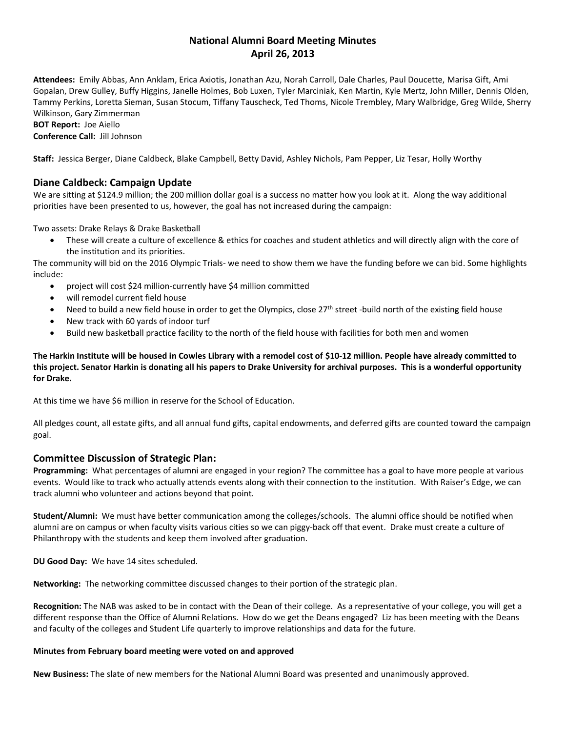# **National Alumni Board Meeting Minutes April 26, 2013**

**Attendees:** Emily Abbas, Ann Anklam, Erica Axiotis, Jonathan Azu, Norah Carroll, Dale Charles, Paul Doucette, Marisa Gift, Ami Gopalan, Drew Gulley, Buffy Higgins, Janelle Holmes, Bob Luxen, Tyler Marciniak, Ken Martin, Kyle Mertz, John Miller, Dennis Olden, Tammy Perkins, Loretta Sieman, Susan Stocum, Tiffany Tauscheck, Ted Thoms, Nicole Trembley, Mary Walbridge, Greg Wilde, Sherry Wilkinson, Gary Zimmerman **BOT Report:** Joe Aiello **Conference Call:** Jill Johnson

**Staff:** Jessica Berger, Diane Caldbeck, Blake Campbell, Betty David, Ashley Nichols, Pam Pepper, Liz Tesar, Holly Worthy

# **Diane Caldbeck: Campaign Update**

We are sitting at \$124.9 million; the 200 million dollar goal is a success no matter how you look at it. Along the way additional priorities have been presented to us, however, the goal has not increased during the campaign:

Two assets: Drake Relays & Drake Basketball

• These will create a culture of excellence & ethics for coaches and student athletics and will directly align with the core of the institution and its priorities.

The community will bid on the 2016 Olympic Trials- we need to show them we have the funding before we can bid. Some highlights include:

- project will cost \$24 million-currently have \$4 million committed
- will remodel current field house
- Need to build a new field house in order to get the Olympics, close  $27<sup>th</sup>$  street -build north of the existing field house
- New track with 60 yards of indoor turf
- Build new basketball practice facility to the north of the field house with facilities for both men and women

## **The Harkin Institute will be housed in Cowles Library with a remodel cost of \$10-12 million. People have already committed to this project. Senator Harkin is donating all his papers to Drake University for archival purposes. This is a wonderful opportunity for Drake.**

At this time we have \$6 million in reserve for the School of Education.

All pledges count, all estate gifts, and all annual fund gifts, capital endowments, and deferred gifts are counted toward the campaign goal.

### **Committee Discussion of Strategic Plan:**

**Programming:** What percentages of alumni are engaged in your region? The committee has a goal to have more people at various events. Would like to track who actually attends events along with their connection to the institution. With Raiser's Edge, we can track alumni who volunteer and actions beyond that point.

**Student/Alumni:** We must have better communication among the colleges/schools. The alumni office should be notified when alumni are on campus or when faculty visits various cities so we can piggy-back off that event. Drake must create a culture of Philanthropy with the students and keep them involved after graduation.

**DU Good Day:** We have 14 sites scheduled.

**Networking:** The networking committee discussed changes to their portion of the strategic plan.

**Recognition:** The NAB was asked to be in contact with the Dean of their college. As a representative of your college, you will get a different response than the Office of Alumni Relations. How do we get the Deans engaged? Liz has been meeting with the Deans and faculty of the colleges and Student Life quarterly to improve relationships and data for the future.

### **Minutes from February board meeting were voted on and approved**

**New Business:** The slate of new members for the National Alumni Board was presented and unanimously approved.